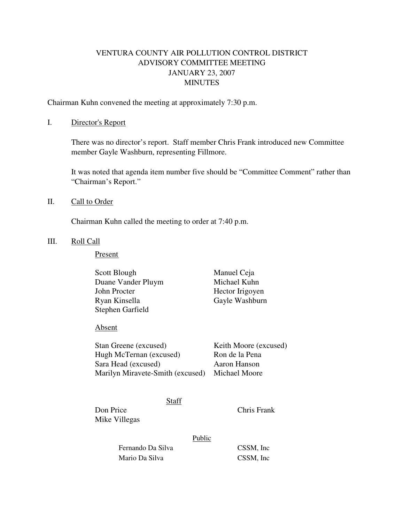# VENTURA COUNTY AIR POLLUTION CONTROL DISTRICT ADVISORY COMMITTEE MEETING JANUARY 23, 2007 MINUTES

Chairman Kuhn convened the meeting at approximately 7:30 p.m.

### I. Director's Report

 There was no director's report. Staff member Chris Frank introduced new Committee member Gayle Washburn, representing Fillmore.

 It was noted that agenda item number five should be "Committee Comment" rather than "Chairman's Report."

## II. Call to Order

Chairman Kuhn called the meeting to order at 7:40 p.m.

### III. Roll Call

Present

| Scott Blough       | Manuel Ceja     |
|--------------------|-----------------|
| Duane Vander Pluym | Michael Kuhn    |
| John Procter       | Hector Irigoyen |
| Ryan Kinsella      | Gayle Washburn  |
| Stephen Garfield   |                 |

### Absent

| Keith Moore (excused) |
|-----------------------|
| Ron de la Pena        |
| Aaron Hanson          |
| Michael Moore         |
|                       |

Staff

Don Price Chris Frank Mike Villegas

Public

Fernando Da Silva CSSM, Inc Mario Da Silva CSSM, Inc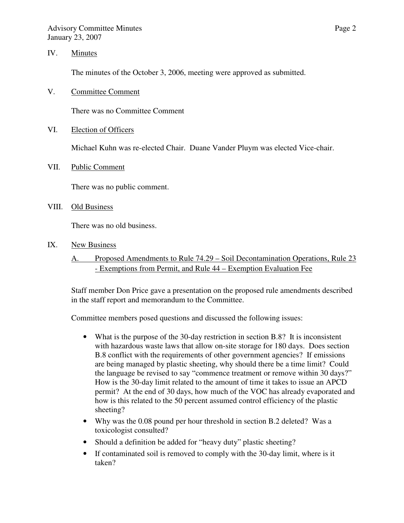IV. Minutes

The minutes of the October 3, 2006, meeting were approved as submitted.

V. Committee Comment

There was no Committee Comment

VI. Election of Officers

Michael Kuhn was re-elected Chair. Duane Vander Pluym was elected Vice-chair.

VII. Public Comment

There was no public comment.

VIII. Old Business

There was no old business.

- IX. New Business
	- A. Proposed Amendments to Rule 74.29 Soil Decontamination Operations, Rule 23 - Exemptions from Permit, and Rule 44 – Exemption Evaluation Fee

Staff member Don Price gave a presentation on the proposed rule amendments described in the staff report and memorandum to the Committee.

Committee members posed questions and discussed the following issues:

- What is the purpose of the 30-day restriction in section B.8? It is inconsistent with hazardous waste laws that allow on-site storage for 180 days. Does section B.8 conflict with the requirements of other government agencies? If emissions are being managed by plastic sheeting, why should there be a time limit? Could the language be revised to say "commence treatment or remove within 30 days?" How is the 30-day limit related to the amount of time it takes to issue an APCD permit? At the end of 30 days, how much of the VOC has already evaporated and how is this related to the 50 percent assumed control efficiency of the plastic sheeting?
- Why was the 0.08 pound per hour threshold in section B.2 deleted? Was a toxicologist consulted?
- Should a definition be added for "heavy duty" plastic sheeting?
- If contaminated soil is removed to comply with the 30-day limit, where is it taken?